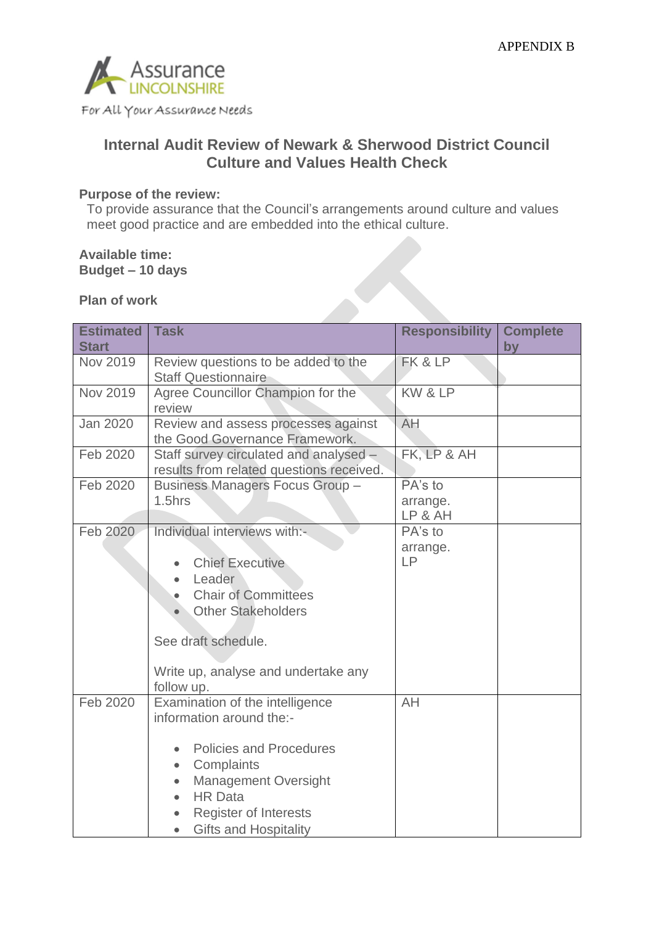

For All Your Assurance Needs

# **Internal Audit Review of Newark & Sherwood District Council Culture and Values Health Check**

### **Purpose of the review:**

To provide assurance that the Council's arrangements around culture and values meet good practice and are embedded into the ethical culture.

#### **Available time: Budget – 10 days**

### **Plan of work**

| <b>Estimated</b> | <b>Task</b>                                                                                                                                                                                                                                                                      | <b>Responsibility</b>          | <b>Complete</b> |
|------------------|----------------------------------------------------------------------------------------------------------------------------------------------------------------------------------------------------------------------------------------------------------------------------------|--------------------------------|-----------------|
| <b>Start</b>     |                                                                                                                                                                                                                                                                                  |                                | by              |
| Nov 2019         | Review questions to be added to the<br><b>Staff Questionnaire</b>                                                                                                                                                                                                                | FK & LP                        |                 |
| <b>Nov 2019</b>  | Agree Councillor Champion for the<br>review                                                                                                                                                                                                                                      | KW & LP                        |                 |
| <b>Jan 2020</b>  | Review and assess processes against<br>the Good Governance Framework.                                                                                                                                                                                                            | AH                             |                 |
| Feb 2020         | Staff survey circulated and analysed -<br>results from related questions received.                                                                                                                                                                                               | FK, LP & AH                    |                 |
| Feb 2020         | <b>Business Managers Focus Group -</b><br>$1.5$ hrs                                                                                                                                                                                                                              | PA's to<br>arrange.<br>LP & AH |                 |
| Feb 2020         | Individual interviews with:-<br><b>Chief Executive</b><br>Leader<br><b>Chair of Committees</b><br><b>Other Stakeholders</b><br>See draft schedule.<br>Write up, analyse and undertake any<br>follow up.                                                                          | PA's to<br>arrange.<br>LP      |                 |
| Feb 2020         | Examination of the intelligence<br>information around the:-<br><b>Policies and Procedures</b><br>$\bullet$<br>Complaints<br>$\bullet$<br><b>Management Oversight</b><br>$\bullet$<br><b>HR Data</b><br><b>Register of Interests</b><br><b>Gifts and Hospitality</b><br>$\bullet$ | AH                             |                 |